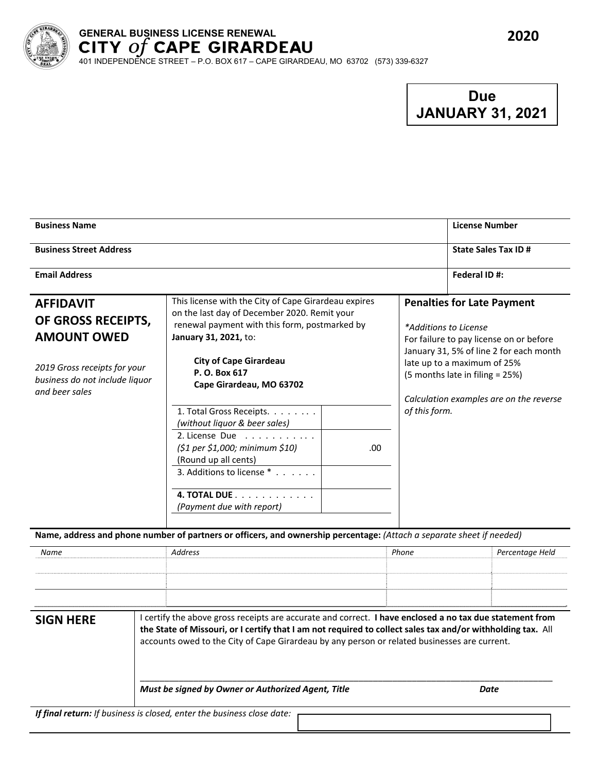

# **GENERAL BUSINESS LICENSE RENEWAL**

401 INDEPENDENCE STREET – P.O. BOX 617 – CAPE GIRARDEAU, MO 63702 (573) 339-6327

## **Due JANUARY 31, 2021**

| <b>Business Name</b>                                                                                                                             |                                                                                                                                                                                                                                                              |      |                                                                                                                                                                                                                                                               | <b>License Number</b>      |
|--------------------------------------------------------------------------------------------------------------------------------------------------|--------------------------------------------------------------------------------------------------------------------------------------------------------------------------------------------------------------------------------------------------------------|------|---------------------------------------------------------------------------------------------------------------------------------------------------------------------------------------------------------------------------------------------------------------|----------------------------|
| <b>Business Street Address</b>                                                                                                                   |                                                                                                                                                                                                                                                              |      |                                                                                                                                                                                                                                                               | <b>State Sales Tax ID#</b> |
| <b>Email Address</b>                                                                                                                             |                                                                                                                                                                                                                                                              |      |                                                                                                                                                                                                                                                               | Federal ID#:               |
| <b>AFFIDAVIT</b><br>OF GROSS RECEIPTS,<br><b>AMOUNT OWED</b><br>2019 Gross receipts for your<br>business do not include liquor<br>and beer sales | This license with the City of Cape Girardeau expires<br>on the last day of December 2020. Remit your<br>renewal payment with this form, postmarked by<br>January 31, 2021, to:<br><b>City of Cape Girardeau</b><br>P. O. Box 617<br>Cape Girardeau, MO 63702 |      | <b>Penalties for Late Payment</b><br>*Additions to License<br>For failure to pay license on or before<br>January 31, 5% of line 2 for each month<br>late up to a maximum of 25%<br>(5 months late in filing = 25%)<br>Calculation examples are on the reverse |                            |
|                                                                                                                                                  | 1. Total Gross Receipts.<br>(without liquor & beer sales)                                                                                                                                                                                                    |      | of this form.                                                                                                                                                                                                                                                 |                            |
|                                                                                                                                                  | 2. License Due<br>$(51$ per $51,000$ ; minimum $510$ )<br>(Round up all cents)<br>3. Additions to license *                                                                                                                                                  | .00. |                                                                                                                                                                                                                                                               |                            |
|                                                                                                                                                  | 4. TOTAL DUE<br>(Payment due with report)                                                                                                                                                                                                                    |      |                                                                                                                                                                                                                                                               |                            |

Name, address and phone number of partners or officers, and ownership percentage: (Attach a separate sheet if needed)

| Name             | Address                                                                                                                                                                                                                                                                                                                 | Phone | Percentage Held |  |  |  |
|------------------|-------------------------------------------------------------------------------------------------------------------------------------------------------------------------------------------------------------------------------------------------------------------------------------------------------------------------|-------|-----------------|--|--|--|
|                  |                                                                                                                                                                                                                                                                                                                         |       |                 |  |  |  |
|                  |                                                                                                                                                                                                                                                                                                                         |       |                 |  |  |  |
|                  |                                                                                                                                                                                                                                                                                                                         |       |                 |  |  |  |
|                  |                                                                                                                                                                                                                                                                                                                         |       |                 |  |  |  |
| <b>SIGN HERE</b> | I certify the above gross receipts are accurate and correct. I have enclosed a no tax due statement from<br>the State of Missouri, or I certify that I am not required to collect sales tax and/or withholding tax. All<br>accounts owed to the City of Cape Girardeau by any person or related businesses are current. |       |                 |  |  |  |
|                  | Must be signed by Owner or Authorized Agent, Title                                                                                                                                                                                                                                                                      |       | Date            |  |  |  |

*If final return: If business is closed, enter the business close date:*